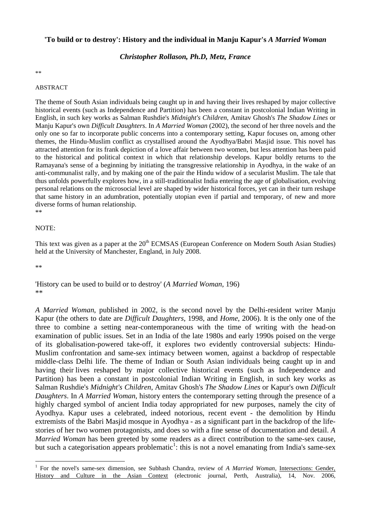## **'To build or to destroy': History and the individual in Manju Kapur's** *A Married Woman*

### *Christopher Rollason, Ph.D, Metz, France*

\*\*

#### ABSTRACT

The theme of South Asian individuals being caught up in and having their lives reshaped by major collective historical events (such as Independence and Partition) has been a constant in postcolonial Indian Writing in English, in such key works as Salman Rushdie's *Midnight's Children*, Amitav Ghosh's *The Shadow Lines* or Manju Kapur's own *Difficult Daughters*. In *A Married Woman* (2002), the second of her three novels and the only one so far to incorporate public concerns into a contemporary setting, Kapur focuses on, among other themes, the Hindu-Muslim conflict as crystallised around the Ayodhya/Babri Masjid issue. This novel has attracted attention for its frank depiction of a love affair between two women, but less attention has been paid to the historical and political context in which that relationship develops. Kapur boldly returns to the Ramayana's sense of a beginning by initiating the transgressive relationship in Ayodhya, in the wake of an anti-communalist rally, and by making one of the pair the Hindu widow of a secularist Muslim. The tale that thus unfolds powerfully explores how, in a still-traditionalist India entering the age of globalisation, evolving personal relations on the microsocial level are shaped by wider historical forces, yet can in their turn reshape that same history in an adumbration, potentially utopian even if partial and temporary, of new and more diverse forms of human relationship. \*\*

#### NOTE:

This text was given as a paper at the 20<sup>th</sup> ECMSAS (European Conference on Modern South Asian Studies) held at the University of Manchester, England, in July 2008.

\*\*

1

'History can be used to build or to destroy' (*A Married Woman*, 196) \*\*

*A Married Woman*, published in 2002, is the second novel by the Delhi-resident writer Manju Kapur (the others to date are *Difficult Daughters*, 1998, and *Home*, 2006). It is the only one of the three to combine a setting near-contemporaneous with the time of writing with the head-on examination of public issues. Set in an India of the late 1980s and early 1990s poised on the verge of its globalisation-powered take-off, it explores two evidently controversial subjects: Hindu-Muslim confrontation and same-sex intimacy between women, against a backdrop of respectable middle-class Delhi life. The theme of Indian or South Asian individuals being caught up in and having their lives reshaped by major collective historical events (such as Independence and Partition) has been a constant in postcolonial Indian Writing in English, in such key works as Salman Rushdie's *Midnight's Children*, Amitav Ghosh's *The Shadow Lines* or Kapur's own *Difficult Daughters*. In *A Married Woman*, history enters the contemporary setting through the presence of a highly charged symbol of ancient India today appropriated for new purposes, namely the city of Ayodhya. Kapur uses a celebrated, indeed notorious, recent event - the demolition by Hindu extremists of the Babri Masjid mosque in Ayodhya - as a significant part in the backdrop of the lifestories of her two women protagonists, and does so with a fine sense of documentation and detail. *A Married Woman* has been greeted by some readers as a direct contribution to the same-sex cause, but such a categorisation appears problematic<sup>1</sup>: this is not a novel emanating from India's same-sex

<sup>&</sup>lt;sup>1</sup> For the novel's same-sex dimension, see Subhash Chandra, review of *A Married Woman*, Intersections: Gender, History and Culture in the Asian Context (electronic journal, Perth, Australia), 14, Nov. 2006,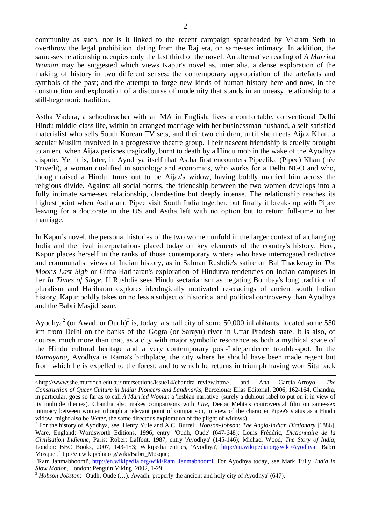community as such, nor is it linked to the recent campaign spearheaded by Vikram Seth to overthrow the legal prohibition, dating from the Raj era, on same-sex intimacy. In addition, the same-sex relationship occupies only the last third of the novel. An alternative reading of *A Married Woman* may be suggested which views Kapur's novel as, inter alia, a dense exploration of the making of history in two different senses: the contemporary appropriation of the artefacts and symbols of the past; and the attempt to forge new kinds of human history here and now, in the construction and exploration of a discourse of modernity that stands in an uneasy relationship to a still-hegemonic tradition.

Astha Vadera, a schoolteacher with an MA in English, lives a comfortable, conventional Delhi Hindu middle-class life, within an arranged marriage with her businessman husband, a self-satisfied materialist who sells South Korean TV sets, and their two children, until she meets Aijaz Khan, a secular Muslim involved in a progressive theatre group. Their nascent friendship is cruelly brought to an end when Aijaz perishes tragically, burnt to death by a Hindu mob in the wake of the Ayodhya dispute. Yet it is, later, in Ayodhya itself that Astha first encounters Pipeelika (Pipee) Khan (née Trivedi), a woman qualified in sociology and economics, who works for a Delhi NGO and who, though raised a Hindu, turns out to be Aijaz's widow, having boldly married him across the religious divide. Against all social norms, the friendship between the two women develops into a fully intimate same-sex relationship, clandestine but deeply intense. The relationship reaches its highest point when Astha and Pipee visit South India together, but finally it breaks up with Pipee leaving for a doctorate in the US and Astha left with no option but to return full-time to her marriage.

In Kapur's novel, the personal histories of the two women unfold in the larger context of a changing India and the rival interpretations placed today on key elements of the country's history. Here, Kapur places herself in the ranks of those contemporary writers who have interrogated reductive and communalist views of Indian history, as in Salman Rushdie's satire on Bal Thackeray in *The Moor's Last Sigh* or Githa Hariharan's exploration of Hindutva tendencies on Indian campuses in her *In Times of Siege.* If Rushdie sees Hindu sectarianism as negating Bombay's long tradition of pluralism and Hariharan explores ideologically motivated re-readings of ancient south Indian history, Kapur boldly takes on no less a subject of historical and political controversy than Ayodhya and the Babri Masjid issue.

Ayodhya<sup>2</sup> (or Awad, or Oudh)<sup>3</sup> is, today, a small city of some 50,000 inhabitants, located some 550 km from Delhi on the banks of the Gogra (or Sarayu) river in Uttar Pradesh state. It is also, of course, much more than that, as a city with major symbolic resonance as both a mythical space of the Hindu cultural heritage and a very contemporary post-Independence trouble-spot. In the *Ramayana*, Ayodhya is Rama's birthplace, the city where he should have been made regent but from which he is expelled to the forest, and to which he returns in triumph having won Sita back

1

 $\langle$ http://wwwsshe.murdoch.edu.au/intersections/issue14/chandra\_review.htm>, and Ana García-Arroyo, *The Construction of Queer Culture in India: Pioneers and Landmarks*, Barcelona: Ellas Editorial, 2006, 162-164. Chandra, in particular, goes so far as to call *A Married Woman* a 'lesbian narrative' (surely a dubious label to put on it in view of its multiple themes). Chandra also makes comparisons with *Fire*, Deepa Mehta's controversial film on same-sex intimacy between women (though a relevant point of comparison, in view of the character Pipee's status as a Hindu widow, might also be *Water*, the same director's exploration of the plight of widows).

For the history of Ayodhya, see: Henry Yule and A.C. Burrell, *Hobson-Jobson: The Anglo-Indian Dictionary* [1886], Ware, England: Wordsworth Editions, 1996, entry 'Oudh, Oude' (647-648); Louis Frédéric, *Dictionnaire de la Civilisation Indienne*, Paris: Robert Laffont, 1987, entry 'Ayodhya' (145-146); Michael Wood, *The Story of India*, London: BBC Books, 2007, 143-153; Wikipedia entries, 'Ayodhya', http://en.wikipedia.org/wiki/Ayodhya; 'Babri Mosque', http://en.wikipedia.org/wiki/Babri\_Mosque;

<sup>&#</sup>x27;Ram Janmabhoomi', http://en.wikipedia.org/wiki/Ram\_Janmabhoomi. For Ayodhya today, see Mark Tully, *India in Slow Motion*, London: Penguin Viking, 2002, 1-29.<br><sup>3</sup> *Hobson-Jobston*: 'Oudh, Oude (...). Awadh: properly the ancient and holy city of Ayodhya' (647).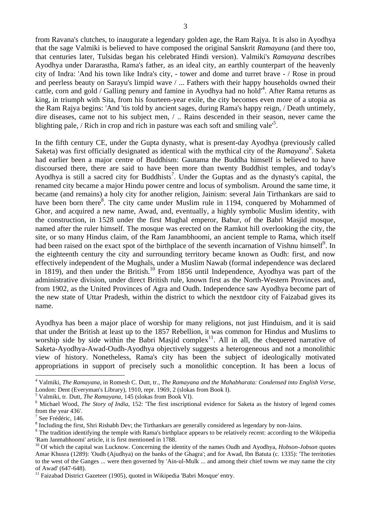from Ravana's clutches, to inaugurate a legendary golden age, the Ram Rajya. It is also in Ayodhya that the sage Valmiki is believed to have composed the original Sanskrit *Ramayana* (and there too, that centuries later, Tulsidas began his celebrated Hindi version). Valmiki's *Ramayana* describes Ayodhya under Dararastha, Rama's father, as an ideal city, an earthly counterpart of the heavenly city of Indra: 'And his town like Indra's city, - tower and dome and turret brave - / Rose in proud and peerless beauty on Sarayu's limpid wave / ... Fathers with their happy households owned their cattle, corn and gold / Galling penury and famine in Ayodhya had no hold<sup>14</sup>. After Rama returns as king, in triumph with Sita, from his fourteen-year exile, the city becomes even more of a utopia as the Ram Rajya begins: 'And 'tis told by ancient sages, during Rama's happy reign, / Death untimely, dire diseases, came not to his subject men, / .. Rains descended in their season, never came the blighting pale, / Rich in crop and rich in pasture was each soft and smiling vale<sup>5</sup>.

In the fifth century CE, under the Gupta dynasty, what is present-day Ayodhya (previously called Saketa) was first officially designated as identical with the mythical city of the *Ramayana*<sup>6</sup>. Saketa had earlier been a major centre of Buddhism: Gautama the Buddha himself is believed to have discoursed there, there are said to have been more than twenty Buddhist temples, and today's Ayodhya is still a sacred city for Buddhists<sup>7</sup>. Under the Guptas and as the dynasty's capital, the renamed city became a major Hindu power centre and locus of symbolism. Around the same time, it became (and remains) a holy city for another religion, Jainism: several Jain Tirthankars are said to have been born there<sup>8</sup>. The city came under Muslim rule in 1194, conquered by Mohammed of Ghor, and acquired a new name, Awad, and, eventually, a highly symbolic Muslim identity, with the construction, in 1528 under the first Mughal emperor, Babur, of the Babri Masjid mosque, named after the ruler himself. The mosque was erected on the Ramkot hill overlooking the city, the site, or so many Hindus claim, of the Ram Janambhoomi, an ancient temple to Rama, which itself had been raised on the exact spot of the birthplace of the seventh incarnation of Vishnu himself<sup>9</sup>. In the eighteenth century the city and surrounding territory became known as Oudh: first, and now effectively independent of the Mughals, under a Muslim Nawab (formal independence was declared in 1819), and then under the British.<sup>10</sup> From 1856 until Independence, Ayodhya was part of the administrative division, under direct British rule, known first as the North-Western Provinces and, from 1902, as the United Provinces of Agra and Oudh. Independence saw Ayodhya become part of the new state of Uttar Pradesh, within the district to which the nextdoor city of Faizabad gives its name.

Ayodhya has been a major place of worship for many religions, not just Hinduism, and it is said that under the British at least up to the 1857 Rebellion, it was common for Hindus and Muslims to worship side by side within the Babri Masjid complex<sup>11</sup>. All in all, the chequered narrative of Saketa-Ayodhya-Awad-Oudh-Ayodhya objectively suggests a heterogeneous and not a monolithic view of history. Nonetheless, Rama's city has been the subject of ideologically motivated appropriations in support of precisely such a monolithic conception. It has been a locus of

1

<sup>4</sup> Valmiki, *The Ramayana*, in Romesh C. Dutt, tr., *The Ramayana and the Mahabharata: Condensed into English Verse*, London: Dent (Everyman's Library), 1910, repr. 1969, 2 (slokas from Book I).

<sup>&</sup>lt;sup>5</sup> Valmiki, tr. Dutt, *The Ramayana*, 145 (slokas from Book VI).

<sup>&</sup>lt;sup>6</sup> Michael Wood, *The Story of India*, 152: 'The first inscriptional evidence for Saketa as the history of legend comes from the year 436'.

See Frédéric, 146.

<sup>&</sup>lt;sup>8</sup> Including the first, Shri Rishabh Dev; the Tirthankars are generally considered as legendary by non-Jains.

<sup>&</sup>lt;sup>9</sup> The tradition identifying the temple with Rama's birthplace appears to be relatively recent: according to the Wikipedia 'Ram Janmabhoomi' article, it is first mentioned in 1788.

<sup>&</sup>lt;sup>10</sup> Of which the capital was Lucknow. Concerning the identity of the names Oudh and Ayodhya, *Hobson-Jobson* quotes Amar Khusra (1289): 'Oudh (Ajudhya) on the banks of the Ghagra'; and for Awad, Ibn Batuta (c. 1335): 'The territoties to the west of the Ganges ... were then governed by 'Ain-ul-Mulk ... and among their chief towns we may name the city of Awad' (647-648).

<sup>&</sup>lt;sup>11</sup> Faizabad District Gazeteer (1905), quoted in Wikipedia 'Babri Mosque' entry.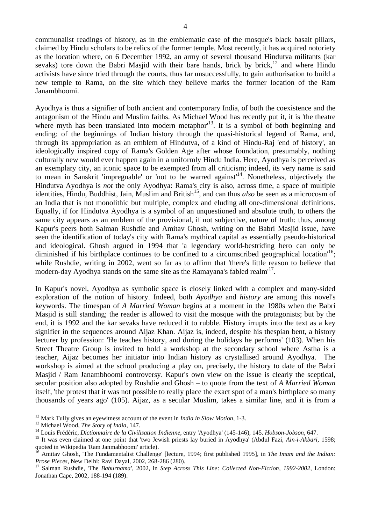communalist readings of history, as in the emblematic case of the mosque's black basalt pillars, claimed by Hindu scholars to be relics of the former temple. Most recently, it has acquired notoriety as the location where, on 6 December 1992, an army of several thousand Hindutva militants (kar sevaks) tore down the Babri Masjid with their bare hands, brick by brick,<sup>12</sup> and where Hindu activists have since tried through the courts, thus far unsuccessfully, to gain authorisation to build a new temple to Rama, on the site which they believe marks the former location of the Ram Janambhoomi.

Ayodhya is thus a signifier of both ancient and contemporary India, of both the coexistence and the antagonism of the Hindu and Muslim faiths. As Michael Wood has recently put it, it is 'the theatre where myth has been translated into modern metaphor<sup>13</sup>. It is a symbol of both beginning and ending: of the beginnings of Indian history through the quasi-historical legend of Rama, and, through its appropriation as an emblem of Hindutva, of a kind of Hindu-Raj 'end of history', an ideologically inspired copy of Rama's Golden Age after whose foundation, presumably, nothing culturally new would ever happen again in a uniformly Hindu India. Here, Ayodhya is perceived as an exemplary city, an iconic space to be exempted from all criticism; indeed, its very name is said to mean in Sanskrit 'impregnable' or 'not to be warred against'14. Nonetheless, objectively the Hindutva Ayodhya is *not* the only Ayodhya: Rama's city is also, across time, a space of multiple identities, Hindu, Buddhist, Jain, Muslim and British<sup>15</sup>, and can thus *also* be seen as a microcosm of an India that is not monolithic but multiple, complex and eluding all one-dimensional definitions. Equally, if for Hindutva Ayodhya is a symbol of an unquestioned and absolute truth, to others the same city appears as an emblem of the provisional, if not subjective, nature of truth: thus, among Kapur's peers both Salman Rushdie and Amitav Ghosh, writing on the Babri Masjid issue, have seen the identification of today's city with Rama's mythical capital as essentially pseudo-historical and ideological. Ghosh argued in 1994 that 'a legendary world-bestriding hero can only be diminished if his birthplace continues to be confined to a circumscribed geographical location<sup>16</sup>; while Rushdie, writing in 2002, went so far as to affirm that 'there's little reason to believe that modern-day Ayodhya stands on the same site as the Ramayana's fabled realm<sup>17</sup>.

In Kapur's novel, Ayodhya as symbolic space is closely linked with a complex and many-sided exploration of the notion of history. Indeed, both *Ayodhya* and *history* are among this novel's keywords. The timespan of *A Married Woman* begins at a moment in the 1980s when the Babri Masjid is still standing; the reader is allowed to visit the mosque with the protagonists; but by the end, it is 1992 and the kar sevaks have reduced it to rubble. History irrupts into the text as a key signifier in the sequences around Aijaz Khan. Aijaz is, indeed, despite his thespian bent, a history lecturer by profession: 'He teaches history, and during the holidays he performs' (103). When his Street Theatre Group is invited to hold a workshop at the secondary school where Astha is a teacher, Aijaz becomes her initiator into Indian history as crystallised around Ayodhya. The workshop is aimed at the school producing a play on, precisely, the history to date of the Babri Masjid / Ram Janambhoomi controversy. Kapur's own view on the issue is clearly the sceptical, secular position also adopted by Rushdie and Ghosh – to quote from the text of *A Married Woman*  itself, 'the protest that it was not possible to really place the exact spot of a man's birthplace so many thousands of years ago' (105). Aijaz, as a secular Muslim, takes a similar line, and it is from a

<u>.</u>

<sup>&</sup>lt;sup>12</sup> Mark Tully gives an eyewitness account of the event in *India in Slow Motion*, 1-3.<br><sup>13</sup> Michael Wood, *The Story of India*, 147.<br><sup>14</sup> Louis Frédéric, *Dictionnaire de la Civilisation Indienne*, entry 'Ayodhya' (145quoted in Wikipedia 'Ram Janmabhoomi' article).

<sup>16</sup> Amitav Ghosh, 'The Fundamentalist Challenge' [lecture, 1994; first published 1995], in *The Imam and the Indian: Prose Pieces*, New Delhi: Ravi Dayal, 2002, 268-286 (280).<br><sup>17</sup> Salman Rushdie, 'The *Baburnama'*, 2002, in *Step Across This Line: Collected Non-Fiction, 1992-2002*, London:

Jonathan Cape, 2002, 188-194 (189).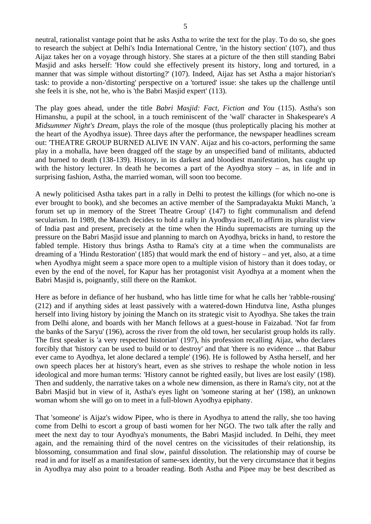neutral, rationalist vantage point that he asks Astha to write the text for the play. To do so, she goes to research the subject at Delhi's India International Centre, 'in the history section' (107), and thus Aijaz takes her on a voyage through history. She stares at a picture of the then still standing Babri Masjid and asks herself: 'How could she effectively present its history, long and tortured, in a manner that was simple without distorting?' (107). Indeed, Aijaz has set Astha a major historian's task: to provide a non-'distorting' perspective on a 'tortured' issue: she takes up the challenge until she feels it is she, not he, who is 'the Babri Masjid expert' (113).

The play goes ahead, under the title *Babri Masjid: Fact, Fiction and You* (115). Astha's son Himanshu, a pupil at the school, in a touch reminiscent of the 'wall' character in Shakespeare's *A Midsummer Night's Dream*, plays the role of the mosque (thus proleptically placing his mother at the heart of the Ayodhya issue). Three days after the performance, the newspaper headlines scream out: 'THEATRE GROUP BURNED ALIVE IN VAN'. Aijaz and his co-actors, performing the same play in a mohalla, have been dragged off the stage by an unspecified band of militants, abducted and burned to death (138-139). History, in its darkest and bloodiest manifestation, has caught up with the history lecturer. In death he becomes a part of the Ayodhya story – as, in life and in surprising fashion, Astha, the married woman, will soon too become.

A newly politicised Astha takes part in a rally in Delhi to protest the killings (for which no-one is ever brought to book), and she becomes an active member of the Sampradayakta Mukti Manch, 'a forum set up in memory of the Street Theatre Group' (147) to fight communalism and defend secularism. In 1989, the Manch decides to hold a rally in Ayodhya itself, to affirm its pluralist view of India past and present, precisely at the time when the Hindu supremacists are turning up the pressure on the Babri Masjid issue and planning to march on Ayodhya, bricks in hand, to restore the fabled temple. History thus brings Astha to Rama's city at a time when the communalists are dreaming of a 'Hindu Restoration' (185) that would mark the end of history – and yet, also, at a time when Ayodhya might seem a space more open to a multiple vision of history than it does today, or even by the end of the novel, for Kapur has her protagonist visit Ayodhya at a moment when the Babri Masjid is, poignantly, still there on the Ramkot.

Here as before in defiance of her husband, who has little time for what he calls her 'rabble-rousing' (212) and if anything sides at least passively with a watered-down Hindutva line, Astha plunges herself into living history by joining the Manch on its strategic visit to Ayodhya. She takes the train from Delhi alone, and boards with her Manch fellows at a guest-house in Faizabad. 'Not far from the banks of the Saryu' (196), across the river from the old town, her secularist group holds its rally. The first speaker is 'a very respected historian' (197), his profession recalling Aijaz, who declares forcibly that 'history can be used to build or to destroy' and that 'there is no evidence ... that Babur ever came to Ayodhya, let alone declared a temple' (196). He is followed by Astha herself, and her own speech places her at history's heart, even as she strives to reshape the whole notion in less ideological and more human terms: 'History cannot be righted easily, but lives are lost easily' (198). Then and suddenly, the narrative takes on a whole new dimension, as there in Rama's city, not at the Babri Masjid but in view of it, Astha's eyes light on 'someone staring at her' (198), an unknown woman whom she will go on to meet in a full-blown Ayodhya epiphany.

That 'someone' is Aijaz's widow Pipee, who is there in Ayodhya to attend the rally, she too having come from Delhi to escort a group of basti women for her NGO. The two talk after the rally and meet the next day to tour Ayodhya's monuments, the Babri Masjid included. In Delhi, they meet again, and the remaining third of the novel centres on the vicissitudes of their relationship, its blossoming, consummation and final slow, painful dissolution. The relationship may of course be read in and for itself as a manifestation of same-sex identity, but the very circumstance that it begins in Ayodhya may also point to a broader reading. Both Astha and Pipee may be best described as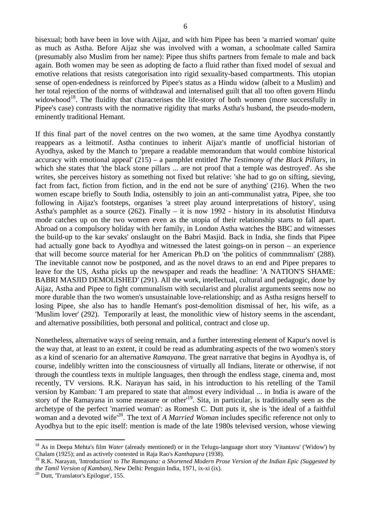bisexual; both have been in love with Aijaz, and with him Pipee has been 'a married woman' quite as much as Astha. Before Aijaz she was involved with a woman, a schoolmate called Samira (presumably also Muslim from her name): Pipee thus shifts partners from female to male and back again. Both women may be seen as adopting de facto a fluid rather than fixed model of sexual and emotive relations that resists categorisation into rigid sexuality-based compartments. This utopian sense of open-endedness is reinforced by Pipee's status as a Hindu widow (albeit to a Muslim) and her total rejection of the norms of withdrawal and internalised guilt that all too often govern Hindu widowhood<sup>18</sup>. The fluidity that characterises the life-story of both women (more successfully in Pipee's case) contrasts with the normative rigidity that marks Astha's husband, the pseudo-modern, eminently traditional Hemant.

If this final part of the novel centres on the two women, at the same time Ayodhya constantly reappears as a leitmotif. Astha continues to inherit Aijaz's mantle of unofficial historian of Ayodhya, asked by the Manch to 'prepare a readable memorandum that would combine historical accuracy with emotional appeal' (215) – a pamphlet entitled *The Testimony of the Black Pillars*, in which she states that 'the black stone pillars ... are not proof that a temple was destroyed'. As she writes, she perceives history as something not fixed but relative: 'she had to go on sifting, sieving, fact from fact, fiction from fiction, and in the end not be sure of anything' (216). When the two women escape briefly to South India, ostensibly to join an anti-communalist yatra, Pipee, she too following in Aijaz's footsteps, organises 'a street play around interpretations of history', using Astha's pamphlet as a source (262). Finally – it is now 1992 - history in its absolutist Hindutva mode catches up on the two women even as the utopia of their relationship starts to fall apart. Abroad on a compulsory holiday with her family, in London Astha watches the BBC and witnesses the build-up to the kar sevaks' onslaught on the Babri Masjid. Back in India, she finds that Pipee had actually gone back to Ayodhya and witnessed the latest goings-on in person – an experience that will become source material for her American Ph.D on 'the politics of commmnalism' (288). The inevitable cannot now be postponed, and as the novel draws to an end and Pipee prepares to leave for the US, Astha picks up the newspaper and reads the headline: 'A NATION'S SHAME: BABRI MASJID DEMOLISHED' (291). All the work, intellectual, cultural and pedagogic, done by Aijaz, Astha and Pipee to fight communalism with secularist and pluralist arguments seems now no more durable than the two women's unsustainable love-relationship; and as Astha resigns herself to losing Pipee, she also has to handle Hemant's post-demolition dismissal of her, his wife, as a 'Muslim lover' (292). Temporarily at least, the monolithic view of history seems in the ascendant, and alternative possibilities, both personal and political, contract and close up.

Nonetheless, alternative ways of seeing remain, and a further interesting element of Kapur's novel is the way that, at least to an extent, it could be read as adumbrating aspects of the two women's story as a kind of scenario for an alternative *Ramayana*. The great narrative that begins in Ayodhya is, of course, indelibly written into the consciousness of virtually all Indians, literate or otherwise, if not through the countless texts in multiple languages, then through the endless stage, cinema and, most recently, TV versions. R.K. Narayan has said, in his introduction to his retelling of the Tamil version by Kamban: 'I am prepared to state that almost every individual ... in India is aware of the story of the Ramayana in some measure or other<sup>119</sup>. Sita, in particular, is traditionally seen as the archetype of the perfect 'married woman': as Romesh C. Dutt puts it, she is 'the ideal of a faithful woman and a devoted wife<sup>'20</sup>. The text of *A Married Woman* includes specific reference not only to Ayodhya but to the epic itself: mention is made of the late 1980s televised version, whose viewing

1

<sup>&</sup>lt;sup>18</sup> As in Deepa Mehta's film *Water* (already mentioned) or in the Telugu-language short story 'Vitantavu' ('Widow') by Chalam (1925); and as actively contested in Raja Rao's *Kanthapura* (1938).

<sup>19</sup> R.K. Narayan, 'Introduction' to *The Ramayana: a Shortened Modern Prose Version of the Indian Epic (Suggested by the Tamil Version of Kamban)*, New Delhi: Penguin India, 1971, ix-xi (ix). <sup>20</sup> Dutt, 'Translator's Epilogue', 155.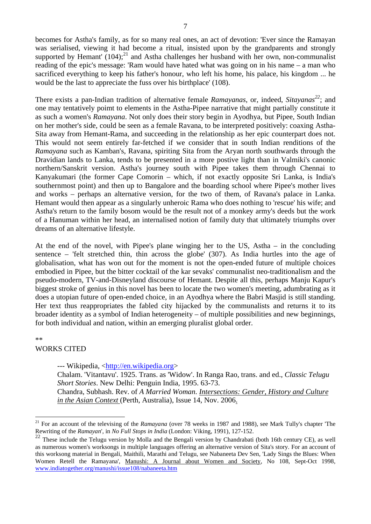becomes for Astha's family, as for so many real ones, an act of devotion: 'Ever since the Ramayan was serialised, viewing it had become a ritual, insisted upon by the grandparents and strongly supported by Hemant'  $(104)$ ;<sup>21</sup> and Astha challenges her husband with her own, non-communalist reading of the epic's message: 'Ram would have hated what was going on in his name – a man who sacrificed everything to keep his father's honour, who left his home, his palace, his kingdom ... he would be the last to appreciate the fuss over his birthplace' (108).

There exists a pan-Indian tradition of alternative female *Ramayanas*, or, indeed, *Sitayanas<sup>22</sup>*; and one may tentatively poimt to elements in the Astha-Pipee narrative that might partially constitute it as such a women's *Ramayana*. Not only does their story begin in Ayodhya, but Pipee, South Indian on her mother's side, could be seen as a female Ravana, to be interpreted positively: coaxing Astha-Sita away from Hemant-Rama, and succeeding in the relationship as her epic counterpart does not. This would not seem entirely far-fetched if we consider that in south Indian renditions of the *Ramayana* such as Kamban's, Ravana, spiriting Sita from the Aryan north southwards through the Dravidian lands to Lanka, tends to be presented in a more postive light than in Valmiki's canonic northern/Sanskrit version. Astha's journey south with Pipee takes them through Chennai to Kanyakumari (the former Cape Comorin – which, if not exactly opposite Sri Lanka, is India's southernmost point) and then up to Bangalore and the boarding school where Pipee's mother lives and works – perhaps an alternative version, for the two of them, of Ravana's palace in Lanka. Hemant would then appear as a singularly unheroic Rama who does nothing to 'rescue' his wife; and Astha's return to the family bosom would be the result not of a monkey army's deeds but the work of a Hanuman within her head, an internalised notion of family duty that ultimately triumphs over dreams of an alternative lifestyle.

At the end of the novel, with Pipee's plane winging her to the US, Astha – in the concluding sentence – 'felt stretched thin, thin across the globe' (307). As India hurtles into the age of globalisation, what has won out for the moment is not the open-ended future of multiple choices embodied in Pipee, but the bitter cocktail of the kar sevaks' communalist neo-traditionalism and the pseudo-modern, TV-and-Disneyland discourse of Hemant. Despite all this, perhaps Manju Kapur's biggest stroke of genius in this novel has been to locate the two women's meeting, adumbrating as it does a utopian future of open-ended choice, in an Ayodhya where the Babri Masjid is still standing. Her text thus reappropriates the fabled city hijacked by the communalists and returns it to its broader identity as a symbol of Indian heterogeneity – of multiple possibilities and new beginnings, for both individual and nation, within an emerging pluralist global order.

\*\*

1

# WORKS CITED

--- Wikipedia, <http://en.wikipedia.org>

Chalam. 'Vitantavu'. 1925. Trans. as 'Widow'. In Ranga Rao, trans. and ed., *Classic Telugu Short Stories*. New Delhi: Penguin India, 1995. 63-73. Chandra, Subhash. Rev. of *A Married Woman*. *Intersections: Gender, History and Culture* 

*in the Asian Context* (Perth, Australia), Issue 14, Nov. 2006.

<sup>&</sup>lt;sup>21</sup> For an account of the televising of the *Ramayana* (over 78 weeks in 1987 and 1988), see Mark Tully's chapter 'The Rewriting of the *Ramayan*', in *No Full Stops in India* (London: Viking, 1991), 127-152.

 $22$  These include the Telugu version by Molla and the Bengali version by Chandrabati (both 16th century CE), as well as numerous women's worksongs in multiple languages offering an alternative version of Sita's story. For an account of this worksong material in Bengali, Maithili, Marathi and Telugu, see Nabaneeta Dev Sen, 'Lady Sings the Blues: When Women Retell the Ramayana', Manushi: A Journal about Women and Society, No 108, Sept-Oct 1998, www.indiatogether.org/manushi/issue108/nabaneeta.htm